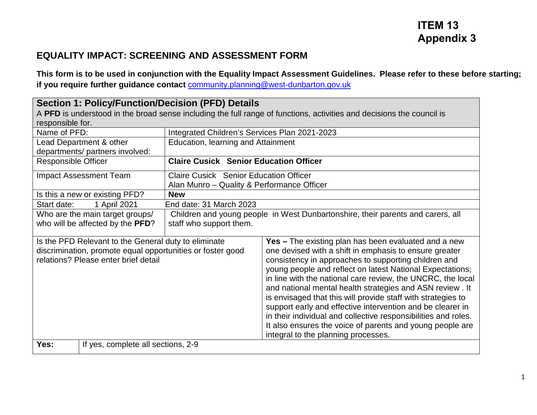## **ITEM 13 Appendix 3**

## **EQUALITY IMPACT: SCREENING AND ASSESSMENT FORM**

**This form is to be used in conjunction with the Equality Impact Assessment Guidelines. Please refer to these before starting; if you require further guidance contact** [community.planning@west-dunbarton.gov.uk](mailto:community.planning@west-dunbarton.gov.uk)

| Section 1: Policy/Function/Decision (PFD) Details<br>A PFD is understood in the broad sense including the full range of functions, activities and decisions the council is |                                                                                                                    |                                               |                                                                                                                                                                                                                                                                                                                                                                                                                                                                                                                                                                                                                                                                    |  |  |
|----------------------------------------------------------------------------------------------------------------------------------------------------------------------------|--------------------------------------------------------------------------------------------------------------------|-----------------------------------------------|--------------------------------------------------------------------------------------------------------------------------------------------------------------------------------------------------------------------------------------------------------------------------------------------------------------------------------------------------------------------------------------------------------------------------------------------------------------------------------------------------------------------------------------------------------------------------------------------------------------------------------------------------------------------|--|--|
| responsible for.<br>Name of PFD:                                                                                                                                           |                                                                                                                    | Integrated Children's Services Plan 2021-2023 |                                                                                                                                                                                                                                                                                                                                                                                                                                                                                                                                                                                                                                                                    |  |  |
|                                                                                                                                                                            | Lead Department & other                                                                                            | <b>Education, learning and Attainment</b>     |                                                                                                                                                                                                                                                                                                                                                                                                                                                                                                                                                                                                                                                                    |  |  |
|                                                                                                                                                                            | departments/ partners involved:                                                                                    |                                               |                                                                                                                                                                                                                                                                                                                                                                                                                                                                                                                                                                                                                                                                    |  |  |
| <b>Responsible Officer</b>                                                                                                                                                 |                                                                                                                    | <b>Claire Cusick Senior Education Officer</b> |                                                                                                                                                                                                                                                                                                                                                                                                                                                                                                                                                                                                                                                                    |  |  |
|                                                                                                                                                                            | <b>Impact Assessment Team</b>                                                                                      | <b>Claire Cusick Senior Education Officer</b> |                                                                                                                                                                                                                                                                                                                                                                                                                                                                                                                                                                                                                                                                    |  |  |
|                                                                                                                                                                            |                                                                                                                    | Alan Munro - Quality & Performance Officer    |                                                                                                                                                                                                                                                                                                                                                                                                                                                                                                                                                                                                                                                                    |  |  |
|                                                                                                                                                                            | Is this a new or existing PFD?                                                                                     | <b>New</b>                                    |                                                                                                                                                                                                                                                                                                                                                                                                                                                                                                                                                                                                                                                                    |  |  |
| Start date:                                                                                                                                                                | 1 April 2021                                                                                                       | End date: 31 March 2023                       |                                                                                                                                                                                                                                                                                                                                                                                                                                                                                                                                                                                                                                                                    |  |  |
|                                                                                                                                                                            | Who are the main target groups/<br>Children and young people in West Dunbartonshire, their parents and carers, all |                                               |                                                                                                                                                                                                                                                                                                                                                                                                                                                                                                                                                                                                                                                                    |  |  |
|                                                                                                                                                                            | who will be affected by the PFD?                                                                                   | staff who support them.                       |                                                                                                                                                                                                                                                                                                                                                                                                                                                                                                                                                                                                                                                                    |  |  |
| Is the PFD Relevant to the General duty to eliminate<br>discrimination, promote equal opportunities or foster good<br>relations? Please enter brief detail                 |                                                                                                                    |                                               | Yes - The existing plan has been evaluated and a new<br>one devised with a shift in emphasis to ensure greater<br>consistency in approaches to supporting children and<br>young people and reflect on latest National Expectations;<br>in line with the national care review, the UNCRC, the local<br>and national mental health strategies and ASN review. It<br>is envisaged that this will provide staff with strategies to<br>support early and effective intervention and be clearer in<br>in their individual and collective responsibilities and roles.<br>It also ensures the voice of parents and young people are<br>integral to the planning processes. |  |  |
| Yes:                                                                                                                                                                       | If yes, complete all sections, 2-9                                                                                 |                                               |                                                                                                                                                                                                                                                                                                                                                                                                                                                                                                                                                                                                                                                                    |  |  |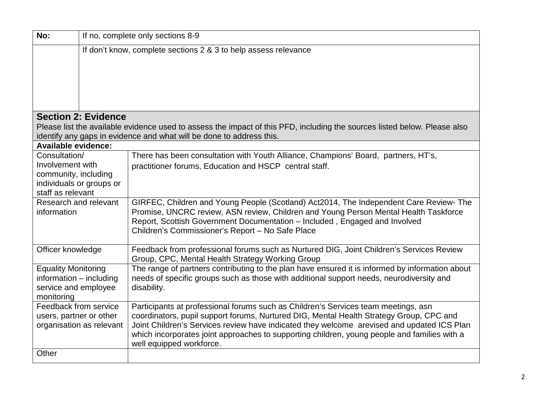| No:                                                 | If no, complete only sections 8-9                               |                                                                                                                                                                                                                                                                                                                  |  |  |  |  |
|-----------------------------------------------------|-----------------------------------------------------------------|------------------------------------------------------------------------------------------------------------------------------------------------------------------------------------------------------------------------------------------------------------------------------------------------------------------|--|--|--|--|
|                                                     | If don't know, complete sections 2 & 3 to help assess relevance |                                                                                                                                                                                                                                                                                                                  |  |  |  |  |
|                                                     |                                                                 |                                                                                                                                                                                                                                                                                                                  |  |  |  |  |
|                                                     |                                                                 |                                                                                                                                                                                                                                                                                                                  |  |  |  |  |
|                                                     |                                                                 |                                                                                                                                                                                                                                                                                                                  |  |  |  |  |
|                                                     |                                                                 |                                                                                                                                                                                                                                                                                                                  |  |  |  |  |
|                                                     | <b>Section 2: Evidence</b>                                      |                                                                                                                                                                                                                                                                                                                  |  |  |  |  |
|                                                     |                                                                 | Please list the available evidence used to assess the impact of this PFD, including the sources listed below. Please also<br>identify any gaps in evidence and what will be done to address this.                                                                                                                |  |  |  |  |
| <b>Available evidence:</b>                          |                                                                 |                                                                                                                                                                                                                                                                                                                  |  |  |  |  |
| Consultation/                                       |                                                                 | There has been consultation with Youth Alliance, Champions' Board, partners, HT's,                                                                                                                                                                                                                               |  |  |  |  |
| Involvement with                                    |                                                                 | practitioner forums, Education and HSCP central staff.                                                                                                                                                                                                                                                           |  |  |  |  |
| community, including                                |                                                                 |                                                                                                                                                                                                                                                                                                                  |  |  |  |  |
| individuals or groups or<br>staff as relevant       |                                                                 |                                                                                                                                                                                                                                                                                                                  |  |  |  |  |
| Research and relevant<br>information                |                                                                 | GIRFEC, Children and Young People (Scotland) Act2014, The Independent Care Review- The<br>Promise, UNCRC review, ASN review, Children and Young Person Mental Health Taskforce<br>Report, Scottish Government Documentation - Included, Engaged and Involved<br>Children's Commissioner's Report - No Safe Place |  |  |  |  |
| Officer knowledge                                   |                                                                 | Feedback from professional forums such as Nurtured DIG, Joint Children's Services Review<br>Group, CPC, Mental Health Strategy Working Group                                                                                                                                                                     |  |  |  |  |
| <b>Equality Monitoring</b>                          |                                                                 | The range of partners contributing to the plan have ensured it is informed by information about                                                                                                                                                                                                                  |  |  |  |  |
| information - including<br>service and employee     |                                                                 | needs of specific groups such as those with additional support needs, neurodiversity and<br>disability.                                                                                                                                                                                                          |  |  |  |  |
| monitoring                                          |                                                                 |                                                                                                                                                                                                                                                                                                                  |  |  |  |  |
| Feedback from service                               |                                                                 | Participants at professional forums such as Children's Services team meetings, asn                                                                                                                                                                                                                               |  |  |  |  |
| users, partner or other<br>organisation as relevant |                                                                 | coordinators, pupil support forums, Nurtured DIG, Mental Health Strategy Group, CPC and                                                                                                                                                                                                                          |  |  |  |  |
|                                                     |                                                                 | Joint Children's Services review have indicated they welcome arevised and updated ICS Plan<br>which incorporates joint approaches to supporting children, young people and families with a<br>well equipped workforce.                                                                                           |  |  |  |  |
| Other                                               |                                                                 |                                                                                                                                                                                                                                                                                                                  |  |  |  |  |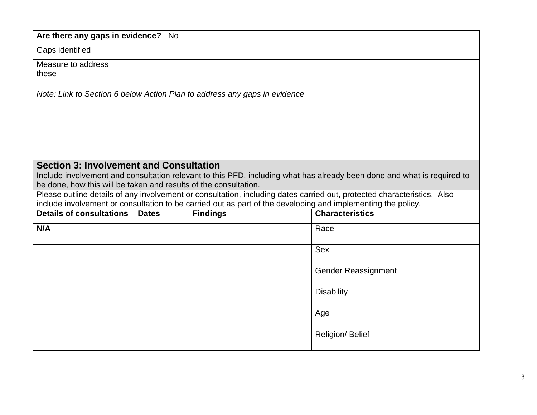| Are there any gaps in evidence? No                               |              |                                                                                                              |                                                                                                                         |
|------------------------------------------------------------------|--------------|--------------------------------------------------------------------------------------------------------------|-------------------------------------------------------------------------------------------------------------------------|
| Gaps identified                                                  |              |                                                                                                              |                                                                                                                         |
| Measure to address                                               |              |                                                                                                              |                                                                                                                         |
| these                                                            |              |                                                                                                              |                                                                                                                         |
|                                                                  |              | Note: Link to Section 6 below Action Plan to address any gaps in evidence                                    |                                                                                                                         |
|                                                                  |              |                                                                                                              |                                                                                                                         |
|                                                                  |              |                                                                                                              |                                                                                                                         |
|                                                                  |              |                                                                                                              |                                                                                                                         |
|                                                                  |              |                                                                                                              |                                                                                                                         |
|                                                                  |              |                                                                                                              |                                                                                                                         |
| <b>Section 3: Involvement and Consultation</b>                   |              |                                                                                                              |                                                                                                                         |
|                                                                  |              |                                                                                                              | Include involvement and consultation relevant to this PFD, including what has already been done and what is required to |
| be done, how this will be taken and results of the consultation. |              |                                                                                                              | Please outline details of any involvement or consultation, including dates carried out, protected characteristics. Also |
|                                                                  |              | include involvement or consultation to be carried out as part of the developing and implementing the policy. |                                                                                                                         |
| <b>Details of consultations</b>                                  | <b>Dates</b> | <b>Findings</b>                                                                                              | <b>Characteristics</b>                                                                                                  |
| N/A                                                              |              |                                                                                                              | Race                                                                                                                    |
|                                                                  |              |                                                                                                              |                                                                                                                         |
|                                                                  |              |                                                                                                              | <b>Sex</b>                                                                                                              |
|                                                                  |              |                                                                                                              | <b>Gender Reassignment</b>                                                                                              |
|                                                                  |              |                                                                                                              |                                                                                                                         |
|                                                                  |              |                                                                                                              | <b>Disability</b>                                                                                                       |
|                                                                  |              |                                                                                                              |                                                                                                                         |
|                                                                  |              |                                                                                                              | Age                                                                                                                     |
|                                                                  |              |                                                                                                              | Religion/ Belief                                                                                                        |
|                                                                  |              |                                                                                                              |                                                                                                                         |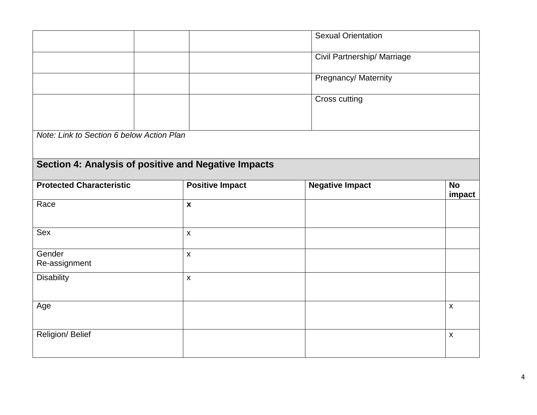|                                                      |                        | <b>Sexual Orientation</b>   |                     |  |
|------------------------------------------------------|------------------------|-----------------------------|---------------------|--|
|                                                      |                        | Civil Partnership/ Marriage |                     |  |
|                                                      |                        | Pregnancy/ Maternity        |                     |  |
|                                                      |                        | Cross cutting               |                     |  |
| Note: Link to Section 6 below Action Plan            |                        |                             |                     |  |
| Section 4: Analysis of positive and Negative Impacts |                        |                             |                     |  |
| <b>Protected Characteristic</b>                      | <b>Positive Impact</b> | <b>Negative Impact</b>      | <b>No</b><br>impact |  |
| Race                                                 | $\pmb{\mathsf{X}}$     |                             |                     |  |
| Sex                                                  | $\pmb{\mathsf{X}}$     |                             |                     |  |
| Gender<br>Re-assignment                              | $\pmb{\chi}$           |                             |                     |  |
| <b>Disability</b>                                    | $\pmb{\mathsf{X}}$     |                             |                     |  |
| Age                                                  |                        |                             | $\pmb{\mathsf{X}}$  |  |
| Religion/ Belief                                     |                        |                             | $\pmb{\mathsf{X}}$  |  |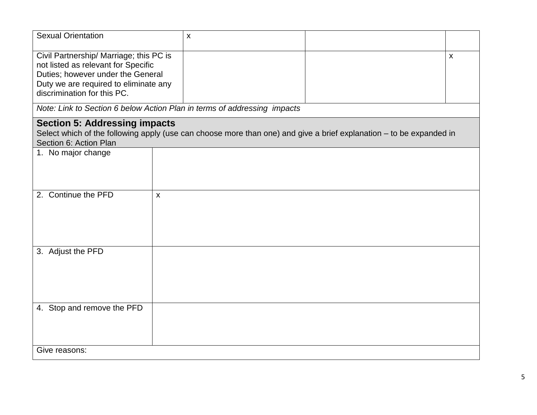| <b>Sexual Orientation</b>                                                                                                                                                                   |              | $\pmb{\times}$                                                           |  |              |
|---------------------------------------------------------------------------------------------------------------------------------------------------------------------------------------------|--------------|--------------------------------------------------------------------------|--|--------------|
| Civil Partnership/ Marriage; this PC is<br>not listed as relevant for Specific<br>Duties; however under the General<br>Duty we are required to eliminate any<br>discrimination for this PC. |              |                                                                          |  | $\mathsf{x}$ |
|                                                                                                                                                                                             |              | Note: Link to Section 6 below Action Plan in terms of addressing impacts |  |              |
| <b>Section 5: Addressing impacts</b><br>Select which of the following apply (use can choose more than one) and give a brief explanation – to be expanded in<br>Section 6: Action Plan       |              |                                                                          |  |              |
| 1. No major change                                                                                                                                                                          |              |                                                                          |  |              |
| 2. Continue the PFD                                                                                                                                                                         | $\mathsf{x}$ |                                                                          |  |              |
| 3. Adjust the PFD                                                                                                                                                                           |              |                                                                          |  |              |
| 4. Stop and remove the PFD                                                                                                                                                                  |              |                                                                          |  |              |
| Give reasons:                                                                                                                                                                               |              |                                                                          |  |              |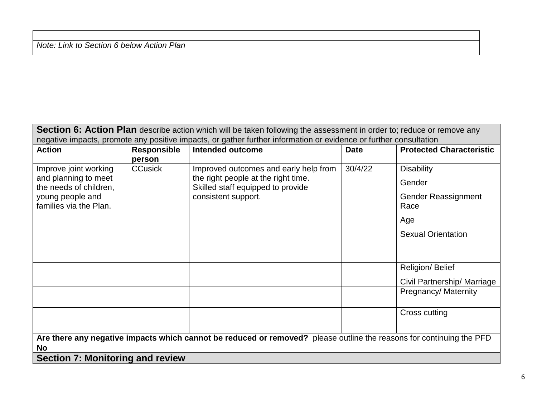*Note: Link to Section 6 below Action Plan*

| Section 6: Action Plan describe action which will be taken following the assessment in order to; reduce or remove any |                              |                                                                                                                                          |             |                                                                                                       |  |
|-----------------------------------------------------------------------------------------------------------------------|------------------------------|------------------------------------------------------------------------------------------------------------------------------------------|-------------|-------------------------------------------------------------------------------------------------------|--|
| negative impacts, promote any positive impacts, or gather further information or evidence or further consultation     |                              |                                                                                                                                          |             |                                                                                                       |  |
| <b>Action</b>                                                                                                         | <b>Responsible</b><br>person | <b>Intended outcome</b>                                                                                                                  | <b>Date</b> | <b>Protected Characteristic</b>                                                                       |  |
| Improve joint working<br>and planning to meet<br>the needs of children,<br>young people and<br>families via the Plan. | <b>CCusick</b>               | Improved outcomes and early help from<br>the right people at the right time.<br>Skilled staff equipped to provide<br>consistent support. | 30/4/22     | <b>Disability</b><br>Gender<br><b>Gender Reassignment</b><br>Race<br>Age<br><b>Sexual Orientation</b> |  |
|                                                                                                                       |                              |                                                                                                                                          |             | Religion/ Belief                                                                                      |  |
|                                                                                                                       |                              |                                                                                                                                          |             | Civil Partnership/ Marriage                                                                           |  |
|                                                                                                                       |                              |                                                                                                                                          |             | Pregnancy/ Maternity                                                                                  |  |
|                                                                                                                       |                              |                                                                                                                                          |             | Cross cutting                                                                                         |  |
| Are there any negative impacts which cannot be reduced or removed? please outline the reasons for continuing the PFD  |                              |                                                                                                                                          |             |                                                                                                       |  |
| <b>No</b>                                                                                                             |                              |                                                                                                                                          |             |                                                                                                       |  |
| <b>Section 7: Monitoring and review</b>                                                                               |                              |                                                                                                                                          |             |                                                                                                       |  |